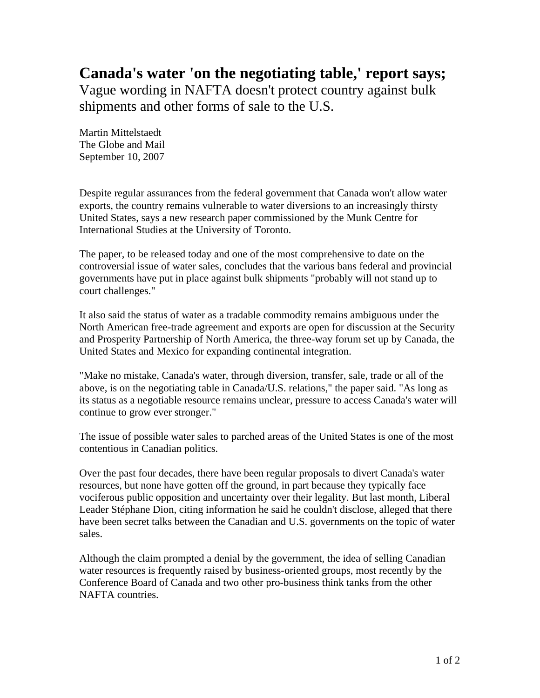## **Canada's water 'on the negotiating table,' report says;**

Vague wording in NAFTA doesn't protect country against bulk shipments and other forms of sale to the U.S.

Martin Mittelstaedt The Globe and Mail September 10, 2007

Despite regular assurances from the federal government that Canada won't allow water exports, the country remains vulnerable to water diversions to an increasingly thirsty United States, says a new research paper commissioned by the Munk Centre for International Studies at the University of Toronto.

The paper, to be released today and one of the most comprehensive to date on the controversial issue of water sales, concludes that the various bans federal and provincial governments have put in place against bulk shipments "probably will not stand up to court challenges."

It also said the status of water as a tradable commodity remains ambiguous under the North American free-trade agreement and exports are open for discussion at the Security and Prosperity Partnership of North America, the three-way forum set up by Canada, the United States and Mexico for expanding continental integration.

"Make no mistake, Canada's water, through diversion, transfer, sale, trade or all of the above, is on the negotiating table in Canada/U.S. relations," the paper said. "As long as its status as a negotiable resource remains unclear, pressure to access Canada's water will continue to grow ever stronger."

The issue of possible water sales to parched areas of the United States is one of the most contentious in Canadian politics.

Over the past four decades, there have been regular proposals to divert Canada's water resources, but none have gotten off the ground, in part because they typically face vociferous public opposition and uncertainty over their legality. But last month, Liberal Leader Stéphane Dion, citing information he said he couldn't disclose, alleged that there have been secret talks between the Canadian and U.S. governments on the topic of water sales.

Although the claim prompted a denial by the government, the idea of selling Canadian water resources is frequently raised by business-oriented groups, most recently by the Conference Board of Canada and two other pro-business think tanks from the other NAFTA countries.